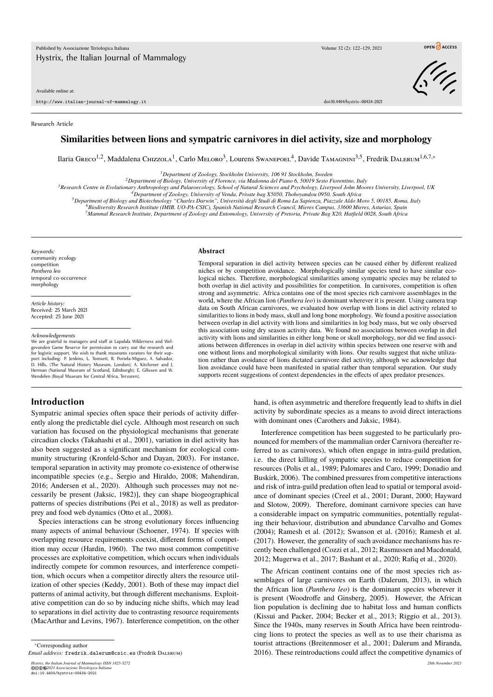#### Available online at:

http://www.italian-journal-of-mammalogy.it doi:10.4404/hystrix–00434-2021

Research Article

# **Similarities between lions and sympatric carnivores in diel activity, size and morphology**

Пагіа Greco<sup>1,2</sup>, Maddalena Сніzzola<sup>1</sup>, Carlo Meloro<sup>3</sup>, Lourens Swanepoel<sup>4</sup>, Davide Тамасніні<sup>3,5</sup>, Fredrik Dalerum<sup>1,6,7,</sup>\*

*<sup>1</sup>Department of Zoology, Stockholm University, 106 91 Stockholm, Sweden*

*<sup>2</sup>Department of Biology, University of Florence, via Madonna del Piano 6, 50019 Sesto Fiorentino, Italy*

*<sup>3</sup>Research Centre in Evolutionary Anthropology and Palaeoecology, School of Natural Sciences and Psychology, Liverpool John Moores University, Liverpool, UK*

*<sup>4</sup>Department of Zoology, University of Venda, Private bag X5050, Thohoyandou 0950, South Africa*

<sup>5</sup>Department of Biology and Biotechnology "Charles Darwin", Università degli Studi di Roma La Sapienza, Piazzale Aldo Moro 5, 00185, Roma, Italy<br><sup>6</sup>Biodiversity Research Institute (IMIB. UO-PA-CSIC), Spanish National Rese

*<sup>7</sup>Mammal Research Institute, Department of Zoology and Entomology, University of Pretoria, Private Bag X20, Hatfield 0028, South Africa*

*Keywords:* community ecology competition *Panthera leo* temporal co-occurrence morphology

*Article history:* Received: 25 March 2021 Accepted: 25 June 2021

#### *Acknowledgements*

We are grateful to managers and staff at Lapalala Wilderness and Welgevonden Game Reserve for permission to carry out the research and for logistic support. We wish to thank museums curators for their support including: P. Jenkins, L. Tomsett, R. Portela-Miguez, A. Salvador,<br>D. Hills, (The Natural History Museum, London); A. Kitchener and J.<br>Herman (National Museum of Scotland, Edinburgh); E. Gilissen and W. Wendelen (Royal Museum for Central Africa, Tervuren).

#### **Abstract**

Temporal separation in diel activity between species can be caused either by different realized niches or by competition avoidance. Morphologically similar species tend to have similar ecological niches. Therefore, morphological similarities among sympatric species may be related to both overlap in diel activity and possibilities for competition. In carnivores, competition is often strong and asymmetric. Africa contains one of the most species rich carnivore assemblages in the world, where the African lion (*Panthera leo*) is dominant wherever it is present. Using camera trap data on South African carnivores, we evaluated how overlap with lions in diel activity related to similarities to lions in body mass, skull and long bone morphology. We found a positive association between overlap in diel activity with lions and similarities in log body mass, but we only observed this association using dry season activity data. We found no associations between overlap in diel activity with lions and similarities in either long bone or skull morphology, nor did we find associations between differences in overlap in diel activity within species between one reserve with and one without lions and morphological similarity with lions. Our results suggest that niche utilization rather than avoidance of lions dictated carnivore diel activity, although we acknowledge that lion avoidance could have been manifested in spatial rather than temporal separation. Our study supports recent suggestions of context dependencies in the effects of apex predator presences.

# **Introduction**

Sympatric animal species often space their periods of activity differently along the predictable diel cycle. Although most research on such variation has focused on the physiological mechanisms that generate circadian clocks (Takahashi et al., 2001), variation in diel activity has also been suggested as a significant mechanism for ecological community structuring (Kronfeld-Schor and Dayan, 2003). For instance, temporal separation in activity may promote co-existence of otherwise incompatible species (e.g., Sergio and Hiraldo, 2008; Mahendiran, 2016; Andersen et al., 2020). Although such processes may not necessarily be present (Jaksic, 1982)], they can shape biogeographical patterns of species distributions (Pei et al., 2018) as well as predatorprey and food web dynamics (Otto et al., 2008).

Species interactions can be strong evolutionary forces influencing many aspects of animal behaviour (Schoener, 1974). If species with overlapping resource requirements coexist, different forms of competition may occur (Hardin, 1960). The two most common competitive processes are exploitative competition, which occurs when individuals indirectly compete for common resources, and interference competition, which occurs when a competitor directly alters the resource utilization of other species (Keddy, 2001). Both of these may impact diel patterns of animal activity, but through different mechanisms. Exploitative competition can do so by inducing niche shifts, which may lead to separations in diel activity due to contrasting resource requirements (MacArthur and Levins, 1967). Interference competition, on the other

<sup>∗</sup>Corresponding author

*Email address:* fredrik.dalerum@csic.es (Fredrik Dalerum)

*Hystrix, the Italian Journal of Mammalogy ISSN 1825-5272 28th November 2021*

©©⊕©202*1 Associazione Teriologica Italiana*<br>doi:10.4404/hystrix-00434-2021

hand, is often asymmetric and therefore frequently lead to shifts in diel activity by subordinate species as a means to avoid direct interactions with dominant ones (Carothers and Jaksic, 1984).

Interference competition has been suggested to be particularly pronounced for members of the mammalian order Carnivora (hereafter referred to as carnivores), which often engage in intra-guild predation, i.e. the direct killing of sympatric species to reduce competition for resources (Polis et al., 1989; Palomares and Caro, 1999; Donadio and Buskirk, 2006). The combined pressures from competitive interactions and risk of intra-guild predation often lead to spatial or temporal avoidance of dominant species (Creel et al., 2001; Durant, 2000; Hayward and Slotow, 2009). Therefore, dominant carnivore species can have a considerable impact on sympatric communities, potentially regulating their behaviour, distribution and abundance Carvalho and Gomes (2004); Ramesh et al. (2012); Swanson et al. (2016); Ramesh et al. (2017). However, the generality of such avoidance mechanisms has recently been challenged (Cozzi et al., 2012; Rasmussen and Macdonald, 2012; Mugerwa et al., 2017; Bashant et al., 2020; Rafiq et al., 2020).

The African continent contains one of the most species rich assemblages of large carnivores on Earth (Dalerum, 2013), in which the African lion (*Panthera leo*) is the dominant species wherever it is present (Woodroffe and Ginsberg, 2005). However, the African lion population is declining due to habitat loss and human conflicts (Kissui and Packer, 2004; Becker et al., 2013; Riggio et al., 2013). Since the 1940s, many reserves in South Africa have been reintroducing lions to protect the species as well as to use their charisma as tourist attractions (Breitenmoser et al., 2001; Dalerum and Miranda, 2016). These reintroductions could affect the competitive dynamics of



OPEN CACCESS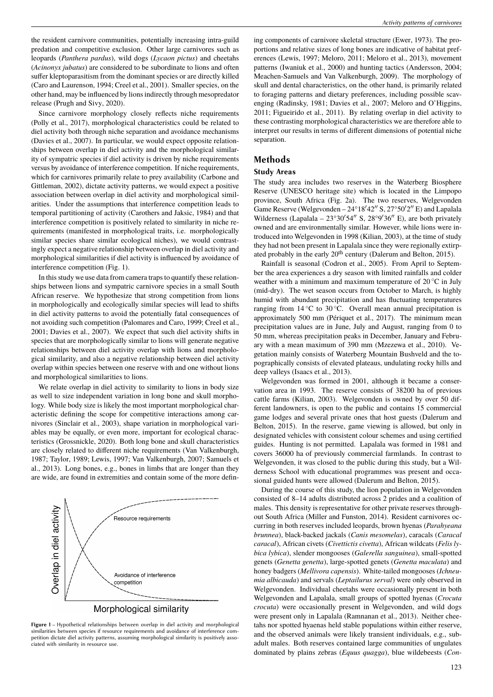the resident carnivore communities, potentially increasing intra-guild predation and competitive exclusion. Other large carnivores such as leopards (*Panthera pardus*), wild dogs (*Lycaon pictus*) and cheetahs (*Acinonyx jubatus*) are considered to be subordinate to lions and often suffer kleptoparasitism from the dominant species or are directly killed (Caro and Laurenson, 1994; Creel et al., 2001). Smaller species, on the other hand, may be influenced by lions indirectly through mesopredator release (Prugh and Sivy, 2020).

Since carnivore morphology closely reflects niche requirements (Polly et al., 2017), morphological characteristics could be related to diel activity both through niche separation and avoidance mechanisms (Davies et al., 2007). In particular, we would expect opposite relationships between overlap in diel activity and the morphological similarity of sympatric species if diel activity is driven by niche requirements versus by avoidance of interference competition. If niche requirements, which for carnivores primarily relate to prey availability (Carbone and Gittleman, 2002), dictate activity patterns, we would expect a positive association between overlap in diel activity and morphological similarities. Under the assumptions that interference competition leads to temporal partitioning of activity (Carothers and Jaksic, 1984) and that interference competition is positively related to similarity in niche requirements (manifested in morphological traits, i.e. morphologically similar species share similar ecological niches), we would contrastingly expect a negative relationship between overlap in diel activity and morphological similarities if diel activity is influenced by avoidance of interference competition (Fig. 1).

In this study we use data from camera traps to quantify these relationships between lions and sympatric carnivore species in a small South African reserve. We hypothesize that strong competition from lions in morphologically and ecologically similar species will lead to shifts in diel activity patterns to avoid the potentially fatal consequences of not avoiding such competition (Palomares and Caro, 1999; Creel et al., 2001; Davies et al., 2007). We expect that such diel activity shifts in species that are morphologically similar to lions will generate negative relationships between diel activity overlap with lions and morphological similarity, and also a negative relationship between diel activity overlap within species between one reserve with and one without lions and morphological similarities to lions.

We relate overlap in diel activity to similarity to lions in body size as well to size independent variation in long bone and skull morphology. While body size is likely the most important morphological characteristic defining the scope for competitive interactions among carnivores (Sinclair et al., 2003), shape variation in morphological variables may be equally, or even more, important for ecological characteristics (Grossnickle, 2020). Both long bone and skull characteristics are closely related to different niche requirements (Van Valkenburgh, 1987; Taylor, 1989; Lewis, 1997; Van Valkenburgh, 2007; Samuels et al., 2013). Long bones, e.g., bones in limbs that are longer than they are wide, are found in extremities and contain some of the more defin-



Morphological similarity

**Figure 1** – Hypothetical relationships between overlap in diel activity and morphological similarities between species if resource requirements and avoidance of interference competition dictate diel activity patterns, assuming morphological similarity is positively associated with similarity in resource use.

ing components of carnivore skeletal structure (Ewer, 1973). The proportions and relative sizes of long bones are indicative of habitat preferences (Lewis, 1997; Meloro, 2011; Meloro et al., 2013), movement patterns (Iwaniuk et al., 2000) and hunting tactics (Andersson, 2004; Meachen-Samuels and Van Valkenburgh, 2009). The morphology of skull and dental characteristics, on the other hand, is primarily related to foraging patterns and dietary preferences, including possible scavenging (Radinsky, 1981; Davies et al., 2007; Meloro and O'Higgins, 2011; Figueirido et al., 2011). By relating overlap in diel activity to these contrasting morphological characteristics we are therefore able to interpret our results in terms of different dimensions of potential niche separation.

# **Methods**

## **Study Areas**

The study area includes two reserves in the Waterberg Biosphere Reserve (UNESCO heritage site) which is located in the Limpopo province, South Africa (Fig. 2a). The two reserves, Welgevonden Game Reserve (Welgevonden  $-24^{\circ}18'42''$  S,  $27^{\circ}50'2''$  E) and Lapalala Wilderness (Lapalala -  $23^{\circ}30'54''$  S,  $28^{\circ}9'36''$  E), are both privately owned and are environmentally similar. However, while lions were introduced into Welgevonden in 1998 (Kilian, 2003), at the time of study they had not been present in Lapalala since they were regionally extirpated probably in the early 20<sup>th</sup> century (Dalerum and Belton, 2015).

Rainfall is seasonal (Codron et al., 2005). From April to September the area experiences a dry season with limited rainfalls and colder weather with a minimum and maximum temperature of  $20^{\circ}$ C in July (mid-dry). The wet season occurs from October to March, is highly humid with abundant precipitation and has fluctuating temperatures ranging from  $14\textdegree C$  to  $30\textdegree C$ . Overall mean annual precipitation is approximately 500 mm (Périquet et al., 2017). The minimum mean precipitation values are in June, July and August, ranging from 0 to 50 mm, whereas precipitation peaks in December, January and February with a mean maximum of 390 mm (Mzezewa et al., 2010). Vegetation mainly consists of Waterberg Mountain Bushveld and the topographically consists of elevated plateaus, undulating rocky hills and deep valleys (Isaacs et al., 2013).

Welgevonden was formed in 2001, although it became a conservation area in 1993. The reserve consists of 38200 ha of previous cattle farms (Kilian, 2003). Welgevonden is owned by over 50 different landowners, is open to the public and contains 15 commercial game lodges and several private ones that host guests (Dalerum and Belton, 2015). In the reserve, game viewing is allowed, but only in designated vehicles with consistent colour schemes and using certified guides. Hunting is not permitted. Lapalala was formed in 1981 and covers 36000 ha of previously commercial farmlands. In contrast to Welgevonden, it was closed to the public during this study, but a Wilderness School with educational programmes was present and occasional guided hunts were allowed (Dalerum and Belton, 2015).

During the course of this study, the lion population in Welgevonden consisted of 8–14 adults distributed across 2 prides and a coalition of males. This density is representative for other private reserves throughout South Africa (Miller and Funston, 2014). Resident carnivores occurring in both reserves included leopards, brown hyenas (*Parahyeana brunnea*), black-backed jackals (*Canis mesomelas*), caracals (*Caracal caracal*), African civets (*Civettictis civetta*), African wildcats (*Felis lybica lybica*), slender mongooses (*Galerella sanguinea*), small-spotted genets (*Genetta genetta*), large-spotted genets (*Genetta maculata*) and honey badgers (*Mellivora capensis*). White-tailed mongooses (*Ichneumia albicauda*) and servals (*Leptailurus serval*) were only observed in Welgevonden. Individual cheetahs were occasionally present in both Welgevonden and Lapalala, small groups of spotted hyenas (*Crocuta crocuta*) were occasionally present in Welgevonden, and wild dogs were present only in Lapalala (Ramnanan et al., 2013). Neither cheetahs nor spotted hyaenas held stable populations within either reserve, and the observed animals were likely transient individuals, e.g., subadult males. Both reserves contained large communities of ungulates dominated by plains zebras (*Equus quagga*), blue wildebeests (*Con-*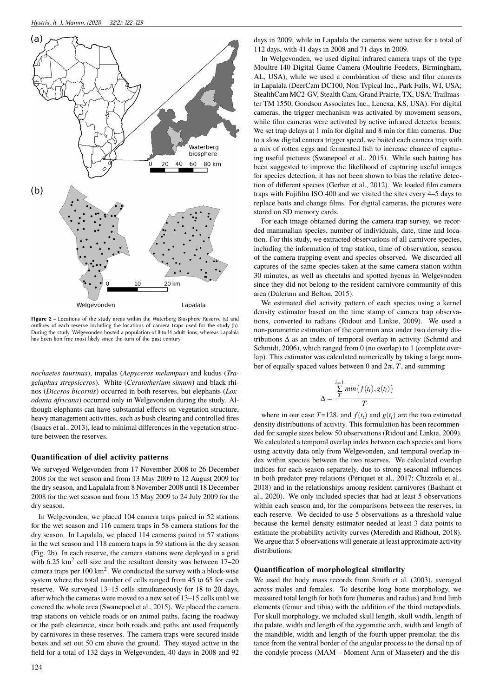

**Figure 2** – Locations of the study areas within the Waterberg Biosphere Reserve (a) and outlines of each reserve including the locations of camera traps used for the study (b). During the study, Welgevonden hosted a population of 8 to 14 adult lions, whereas Lapalala has been lion free most likely since the turn of the past century.

*nochaetes taurinus*), impalas (*Aepyceros melampus*) and kudus (*Tragelaphus strepsiceros*). White (*Ceratotherium simum*) and black rhinos (*Diceros bicornis*) occurred in both reserves, but elephants (*Loxodonta africana*) occurred only in Welgevonden during the study. Although elephants can have substantial effects on vegetation structure, heavy management activities, such as bush clearing and controlled fires (Isaacs et al., 2013), lead to minimal differences in the vegetation structure between the reserves.

### **Quantification of diel activity patterns**

We surveyed Welgevonden from 17 November 2008 to 26 December 2008 for the wet season and from 13 May 2009 to 12 August 2009 for the dry season, and Lapalala from 8 November 2008 until 18 December 2008 for the wet season and from 15 May 2009 to 24 July 2009 for the dry season.

In Welgevonden, we placed 104 camera traps paired in 52 stations for the wet season and 116 camera traps in 58 camera stations for the dry season. In Lapalala, we placed 114 cameras paired in 57 stations in the wet season and 118 camera traps in 59 stations in the dry season (Fig. 2b). In each reserve, the camera stations were deployed in a grid with  $6.25 \text{ km}^2$  cell size and the resultant density was between  $17-20$ camera traps per  $100 \text{ km}^2$ . We conducted the survey with a block-wise system where the total number of cells ranged from 45 to 65 for each reserve. We surveyed 13–15 cells simultaneously for 18 to 20 days, after which the cameras were moved to a new set of 13–15 cells until we covered the whole area (Swanepoel et al., 2015). We placed the camera trap stations on vehicle roads or on animal paths, facing the roadway or the path clearance, since both roads and paths are used frequently by carnivores in these reserves. The camera traps were secured inside boxes and set out 50 cm above the ground. They stayed active in the field for a total of 132 days in Welgevonden, 40 days in 2008 and 92

days in 2009, while in Lapalala the cameras were active for a total of 112 days, with 41 days in 2008 and 71 days in 2009.

In Welgevonden, we used digital infrared camera traps of the type Moultre I40 Digital Game Camera (Moultrie Feeders, Birmingham, AL, USA), while we used a combination of these and film cameras in Lapalala (DeerCam DC100, Non Typical Inc., Park Falls, WI, USA; StealthCam MC2-GV, Stealth Cam, Grand Prairie, TX, USA; Trailmaster TM 1550, Goodson Associates Inc., Lenexa, KS, USA). For digital cameras, the trigger mechanism was activated by movement sensors, while film cameras were activated by active infrared detector beams. We set trap delays at 1 min for digital and 8 min for film cameras. Due to a slow digital camera trigger speed, we baited each camera trap with a mix of rotten eggs and fermented fish to increase chance of capturing useful pictures (Swanepoel et al., 2015). While such baiting has been suggested to improve the likelihood of capturing useful images for species detection, it has not been shown to bias the relative detection of different species (Gerber et al., 2012). We loaded film camera traps with Fujifilm ISO 400 and we visited the sites every 4–5 days to replace baits and change films. For digital cameras, the pictures were stored on SD memory cards.

For each image obtained during the camera trap survey, we recorded mammalian species, number of individuals, date, time and location. For this study, we extracted observations of all carnivore species, including the information of trap station, time of observation, season of the camera trapping event and species observed. We discarded all captures of the same species taken at the same camera station within 30 minutes, as well as cheetahs and spotted hyenas in Welgevonden since they did not belong to the resident carnivore community of this area (Dalerum and Belton, 2015).

We estimated diel activity pattern of each species using a kernel density estimator based on the time stamp of camera trap observations, converted to radians (Ridout and Linkie, 2009). We used a non-parametric estimation of the common area under two density distributions ∆ as an index of temporal overlap in activity (Schmid and Schmidt, 2006), which ranged from 0 (no overlap) to 1 (complete overlap). This estimator was calculated numerically by taking a large number of equally spaced values between 0 and 2π, *T*, and summing

$$
\Delta = \frac{\sum\limits_{T}^{i=1}min\{f(t_i), g(t_i)\}}{T}
$$

where in our case  $T=128$ , and  $f(t_i)$  and  $g(t_i)$  are the two estimated density distributions of activity. This formulation has been recommended for sample sizes below 50 observations (Ridout and Linkie, 2009). We calculated a temporal overlap index between each species and lions using activity data only from Welgevonden, and temporal overlap index within species between the two reserves. We calculated overlap indices for each season separately, due to strong seasonal influences in both predator prey relations (Périquet et al., 2017; Chizzola et al., 2018) and in the relationships among resident carnivores (Bashant et al., 2020). We only included species that had at least 5 observations within each season and, for the comparisons between the reserves, in each reserve. We decided to use 5 observations as a threshold value because the kernel density estimator needed at least 3 data points to estimate the probability activity curves (Meredith and Ridhout, 2018). We argue that 5 observations will generate at least approximate activity distributions.

### **Quantification of morphological similarity**

We used the body mass records from Smith et al. (2003), averaged across males and females. To describe long bone morphology, we measured total length for both fore (humerus and radius) and hind limb elements (femur and tibia) with the addition of the third metapodials. For skull morphology, we included skull length, skull width, length of the palate, width and length of the zygomatic arch, width and length of the mandible, width and length of the fourth upper premolar, the distance from the ventral border of the angular process to the dorsal tip of the condyle process (MAM – Moment Arm of Masseter) and the dis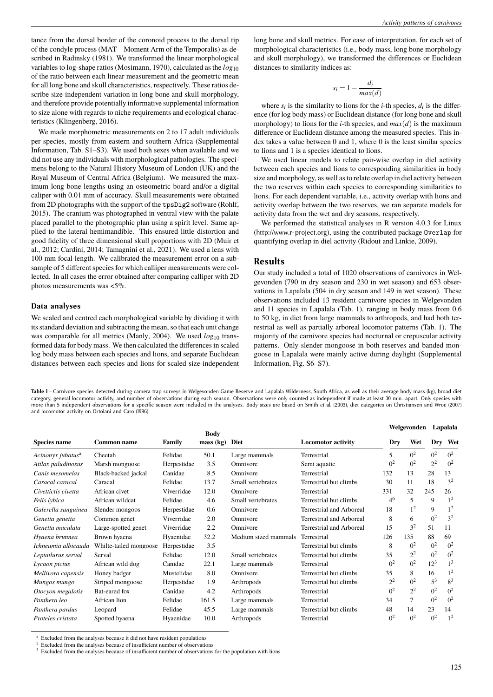tance from the dorsal border of the coronoid process to the dorsal tip of the condyle process (MAT – Moment Arm of the Temporalis) as described in Radinsky (1981). We transformed the linear morphological variables to log-shape ratios (Mosimann, 1970), calculated as the *log*<sup>10</sup> of the ratio between each linear measurement and the geometric mean for all long bone and skull characteristics, respectively. These ratios describe size-independent variation in long bone and skull morphology, and therefore provide potentially informative supplemental information to size alone with regards to niche requirements and ecological characteristics (Klingenberg, 2016).

We made morphometric measurements on 2 to 17 adult individuals per species, mostly from eastern and southern Africa (Supplemental Information, Tab. S1–S3). We used both sexes when available and we did not use any individuals with morphological pathologies. The specimens belong to the Natural History Museum of London (UK) and the Royal Museum of Central Africa (Belgium). We measured the maximum long bone lengths using an osteometric board and/or a digital caliper with 0.01 mm of accuracy. Skull measurements were obtained from 2D photographs with the support of the tpsDig2 software (Rohlf, 2015). The cranium was photographed in ventral view with the palate placed parallel to the photographic plan using a spirit level. Same applied to the lateral hemimandible. This ensured little distortion and good fidelity of three dimensional skull proportions with 2D (Muir et al., 2012; Cardini, 2014; Tamagnini et al., 2021). We used a lens with 100 mm focal length. We calibrated the measurement error on a subsample of 5 different species for which calliper measurements were collected. In all cases the error obtained after comparing calliper with 2D photos measurements was <5%.

# **Data analyses**

We scaled and centred each morphological variable by dividing it with its standard deviation and subtracting the mean, so that each unit change was comparable for all metrics (Manly, 2004). We used  $log_{10}$  transformed data for body mass. We then calculated the differences in scaled log body mass between each species and lions, and separate Euclidean distances between each species and lions for scaled size-independent

long bone and skull metrics. For ease of interpretation, for each set of morphological characteristics (i.e., body mass, long bone morphology and skull morphology), we transformed the differences or Euclidean distances to similarity indices as:

$$
s_i = 1 - \frac{d_i}{\max(d)}
$$

where  $s_i$  is the similarity to lions for the *i*-th species,  $d_i$  is the difference (for log body mass) or Euclidean distance (for long bone and skull morphology) to lions for the *i*-th species, and  $max(d)$  is the maximum difference or Euclidean distance among the measured species. This index takes a value between 0 and 1, where 0 is the least similar species to lions and 1 is a species identical to lions.

We used linear models to relate pair-wise overlap in diel activity between each species and lions to corresponding similarities in body size and morphology, as well as to relate overlap in diel activity between the two reserves within each species to corresponding similarities to lions. For each dependent variable, i.e., activity overlap with lions and activity overlap between the two reserves, we ran separate models for activity data from the wet and dry seasons, respectively.

We performed the statistical analyses in R version 4.0.3 for Linux (http://www.r-project.org), using the contributed package Overlap for quantifying overlap in diel activity (Ridout and Linkie, 2009).

### **Results**

Our study included a total of 1020 observations of carnivores in Welgevonden (790 in dry season and 230 in wet season) and 653 observations in Lapalala (504 in dry season and 149 in wet season). These observations included 13 resident carnivore species in Welgevonden and 11 species in Lapalala (Tab. 1), ranging in body mass from 0.6 to 50 kg, in diet from large mammals to arthropods, and had both terrestrial as well as partially arboreal locomotor patterns (Tab. 1). The majority of the carnivore species had nocturnal or crepuscular activity patterns. Only slender mongoose in both reserves and banded mongoose in Lapalala were mainly active during daylight (Supplemental Information, Fig. S6–S7).

Table 1 – Carnivore species detected during camera trap surveys in Welgevonden Game Reserve and Lapalala Wilderness, South Africa, as well as their average body mass (kg), broad diet category, general locomotor activity, and number of observations during each season. Observations were only counted as independent if made at least 30 min. apart. Only species with more than 5 independent observations for a specific season were included in the analyses. Body sizes are based on Smith et al. (2003), diet categories on Christiansen and Wroe (2007) and locomotor activity on Ortolani and Caro (1996).

|                               |                        |               |                          |                      |                           | Welgevonden    |                |                | Lapalala       |  |
|-------------------------------|------------------------|---------------|--------------------------|----------------------|---------------------------|----------------|----------------|----------------|----------------|--|
| <b>Species name</b>           | <b>Common name</b>     | <b>Family</b> | <b>Body</b><br>mass (kg) | <b>Diet</b>          | <b>Locomotor activity</b> | Dry            | Wet            | Dry            | Wet            |  |
| Acinonyx jubatus <sup>a</sup> | Cheetah                | Felidae       | 50.1                     | Large mammals        | Terrestrial               | 5              | 0 <sup>2</sup> | 0 <sup>2</sup> | 0 <sup>2</sup> |  |
| Atilax paludinosus            | Marsh mongoose         | Herpestidae   | 3.5                      | Omnivore             | Semi aquatic              | 0 <sup>2</sup> | 0 <sup>2</sup> | 2 <sup>2</sup> | 0 <sup>2</sup> |  |
| Canis mesomelas               | Black-backed jackal    | Canidae       | 8.5                      | Omnivore             | Terrestrial               | 132            | 13             | 28             | 13             |  |
| Caracal caracal               | Caracal                | Felidae       | 13.7                     | Small vertebrates    | Terrestrial but climbs    | 30             | 11             | 18             | 3 <sup>2</sup> |  |
| Civettictis civetta           | African civet          | Viverridae    | 12.0                     | Omnivore             | Terrestrial               | 331            | 32             | 245            | 26             |  |
| Felis lybica                  | African wildcat        | Felidae       | 4.6                      | Small vertebrates    | Terrestrial but climbs    | $4^{6}$        | 5              | 9              | 1 <sup>2</sup> |  |
| Galerella sanguinea           | Slender mongoos        | Herpestidae   | 0.6                      | Omnivore             | Terrestrial and Arboreal  | 18             | 1 <sup>2</sup> | 9              | 1 <sup>2</sup> |  |
| Genetta genetta               | Common genet           | Viverridae    | 2.0                      | Omnivore             | Terrestrial and Arboreal  | 8              | 6              | 0 <sup>2</sup> | 3 <sup>2</sup> |  |
| Genetta maculata              | Large-spotted genet    | Viverridae    | 2.2                      | Omnivore             | Terrestrial and Arboreal  | 15             | 3 <sup>2</sup> | 51             | 11             |  |
| Hyaena brunnea                | Brown hyaena           | Hyaenidae     | 32.2                     | Medium sized mammals | Terrestrial               | 126            | 135            | 88             | 69             |  |
| Ichneumia albicauda           | Whilte-tailed mongoose | Herpestidae   | 3.5                      |                      | Terrestrial but climbs    | 8              | 0 <sup>2</sup> | 0 <sup>2</sup> | $0^2$          |  |
| Leptailurus serval            | Serval                 | Felidae       | 12.0                     | Small vertebrates    | Terrestrial but climbs    | 35             | 2 <sup>2</sup> | 0 <sup>2</sup> | 0 <sup>2</sup> |  |
| Lycaon pictus                 | African wild dog       | Canidae       | 22.1                     | Large mammals        | Terrestrial               | 0 <sup>2</sup> | 0 <sup>2</sup> | $12^{3}$       | 1 <sup>3</sup> |  |
| Mellivora capensis            | Honey badger           | Mustelidae    | 8.0                      | Omnivore             | Terrestrial but climbs    | 35             | 8              | 16             | 1 <sup>2</sup> |  |
| Mungos mungo                  | Striped mongoose       | Herpestidae   | 1.9                      | Arthropods           | Terrestrial but climbs    | $2^2$          | 0 <sup>2</sup> | $5^3$          | 8 <sup>3</sup> |  |
| Otocyon megalotis             | Bat-eared fox          | Canidae       | 4.2                      | Arthropods           | Terrestrial               | 0 <sup>2</sup> | 2 <sup>2</sup> | 0 <sup>2</sup> | 0 <sup>2</sup> |  |
| Panthera leo                  | African lion           | Felidae       | 161.5                    | Large mammals        | Terrestrial               | 34             | 7              | 0 <sup>2</sup> | 0 <sup>2</sup> |  |
| Panthera pardus               | Leopard                | Felidae       | 45.5                     | Large mammals        | Terrestrial but climbs    | 48             | 14             | 23             | 14             |  |
| Proteles cristata             | Spotted hyaena         | Hyaenidae     | 10.0                     | Arthropods           | Terrestrial               | 0 <sup>2</sup> | 0 <sup>2</sup> | 0 <sup>2</sup> | 1 <sup>2</sup> |  |

Excluded from the analyses because it did not have resident populations

<sup>2</sup> Excluded from the analyses because of insufficient number of observations

<sup>&</sup>lt;sup>3</sup> Excluded from the analyses because of insufficient number of observations for the population with lions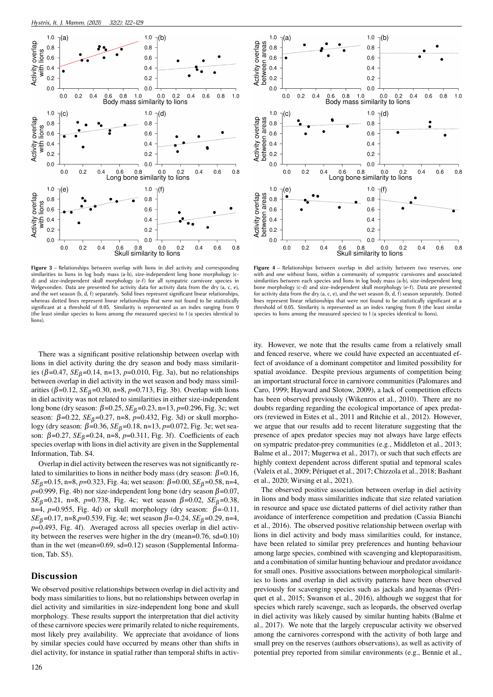

**Figure 3** – Relationships between overlap with lions in diel activity and corresponding similarities to lions in log body mass (a-b), size-independent long bone morphology (cd) and size-independent skull morphology (e-f) for all sympatric carnivore species in Welgevonden. Data are presented for activity data for activity data from the dry (a, c, e), and the wet season (b, d, f) separately. Solid lines represent significant linear relationships, whereas dotted lines represent linear relationships that were not found to be statistically significant at a threshold of 0.05. Similarity is represented as an index ranging from 0 (the least similar species to lions among the measured species) to 1 (a species identical to lions).

There was a significant positive relationship between overlap with lions in diel activity during the dry season and body mass similarities (β=0.47, *SE*<sub>β</sub>=0.14, n=13, p=0.010, Fig. 3a), but no relationships between overlap in diel activity in the wet season and body mass similarities ( $β=0.12$ ,  $SE<sub>β</sub>=0.30$ , n=8, p=0.713, Fig. 3b). Overlap with lions in diel activity was not related to similarities in either size-independent long bone (dry season: β=0.25, *SE*<sup>β</sup> =0.23, n=13, *p*=0.296, Fig. 3c; wet season:  $β=0.22$ ,  $SE<sub>β</sub>=0.27$ , n=8, p=0.432, Fig. 3d) or skull morphology (dry season: β=0.36, *SE*<sub>β</sub>=0.18, n=13, p=0.072, Fig. 3e; wet season:  $β=0.27$ ,  $SE_β=0.24$ , n=8, p=0.311, Fig. 3f). Coefficients of each species overlap with lions in diel activity are given in the Supplemental Information, Tab. S4.

Overlap in diel activity between the reserves was not significantly related to similarities to lions in neither body mass (dry season:  $β=0.16$ , *SE*<sub>β</sub>=0.15, n=8, *p*=0.323, Fig. 4a; wet season: β=0.00, *SE*<sub>β</sub>=0.58, n=4,  $p=0.999$ , Fig. 4b) nor size-independent long bone (dry season  $\beta=0.07$ , *SE*<sub>β</sub>=0.21, n=8, *p*=0.738, Fig. 4c; wet season  $β=0.02$ , *SE*<sub>β</sub>=0.38, n=4,  $p=0.955$ , Fig. 4d) or skull morphology (dry season:  $\beta$ =-0.11, *SE*<sub>β</sub>=0.17, n=8,*p*=0.539, Fig. 4e; wet season  $β = 0.24$ , *SE*<sub>β</sub>=0.29, n=4, *p*=0.493, Fig. 4f). Averaged across all species overlap in diel activity between the reserves were higher in the dry (mean=0.76, sd=0.10) than in the wet (mean=0.69, sd=0.12) season (Supplemental Information, Tab. S5).

# **Discussion**

We observed positive relationships between overlap in diel activity and body mass similarities to lions, but no relationships between overlap in diel activity and similarities in size-independent long bone and skull morphology. These results support the interpretation that diel activity of these carnivore species were primarily related to niche requirements, most likely prey availability. We appreciate that avoidance of lions by similar species could have occurred by means other than shifts in diel activity, for instance in spatial rather than temporal shifts in activ-



**Figure 4** – Relationships between overlap in diel activity between two reserves, one with and one without lions, within a community of sympatric carnivores and associated similarities between each species and lions in log body mass (a-b), size-independent long bone morphology (c-d) and size-independent skull morphology (e-f). Data are presented for activity data from the dry (a, c, e), and the wet season (b, d, f) season separately. Dotted lines represent linear relationships that were not found to be statistically significant at a threshold of 0.05. Similarity is represented as an index ranging from 0 (the least similar species to lions among the measured species) to 1 (a species identical to lions).

ity. However, we note that the results came from a relatively small and fenced reserve, where we could have expected an accentuated effect of avoidance of a dominant competitor and limited possibility for spatial avoidance. Despite previous arguments of competition being an important structural force in carnivore communities (Palomares and Caro, 1999; Hayward and Slotow, 2009), a lack of competition effects has been observed previously (Wikenros et al., 2010). There are no doubts regarding regarding the ecological importance of apex predators (reviewed in Estes et al., 2011 and Ritchie et al., 2012). However, we argue that our results add to recent literature suggesting that the presence of apex predator species may not always have large effects on sympatric predator-prey communities (e.g., Middleton et al., 2013; Balme et al., 2017; Mugerwa et al., 2017), or such that such effects are highly context dependent across different spatial and tepmoral scales (Valeix et al., 2009; Périquet et al., 2017; Chizzola et al., 2018; Bashant et al., 2020; Wirsing et al., 2021).

The observed positive association between overlap in diel activity in lions and body mass similarities indicate that size related variation in resource and space use dictated patterns of diel activity rather than avoidance of interference competition and predation (Cassia Bianchi et al., 2016). The observed positive relationship between overlap with lions in diel activity and body mass similarities could, for instance, have been related to similar prey preferences and hunting behaviour among large species, combined with scavenging and kleptoparasitism, and a combination of similar hunting behaviour and predator avoidance for small ones. Positive associations between morphological similarities to lions and overlap in diel activity patterns have been observed previously for scavenging species such as jackals and hyaenas (Périquet et al., 2015; Swanson et al., 2016), although we suggest that for species which rarely scavenge, such as leopards, the observed overlap in diel activity was likely caused by similar hunting habits (Balme et al., 2017). We note that the largely crepuscular activity we observed among the carnivores correspond with the activity of both large and small prey on the reserves (authors observations), as well as activity of potential prey reported from similar environments (e.g., Bennie et al.,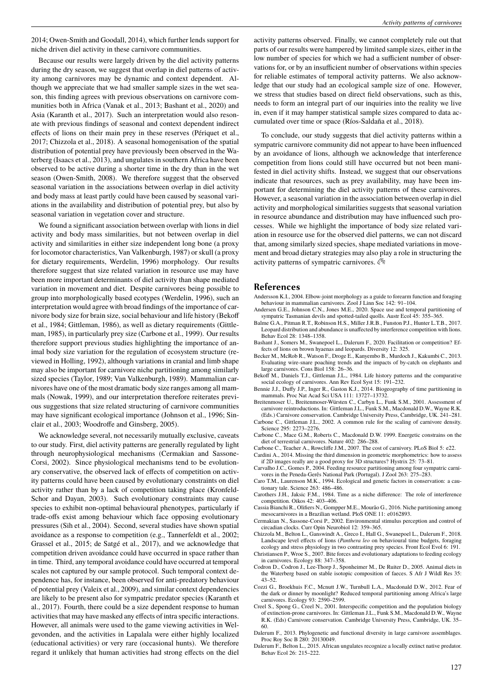2014; Owen-Smith and Goodall, 2014), which further lends support for niche driven diel activity in these carnivore communities.

Because our results were largely driven by the diel activity patterns during the dry season, we suggest that overlap in diel patterns of activity among carnivores may be dynamic and context dependent. Although we appreciate that we had smaller sample sizes in the wet season, this finding agrees with previous observations on carnivore communities both in Africa (Vanak et al., 2013; Bashant et al., 2020) and Asia (Karanth et al., 2017). Such an interpretation would also resonate with previous findings of seasonal and context dependent indirect effects of lions on their main prey in these reserves (Périquet et al., 2017; Chizzola et al., 2018). A seasonal homogenisation of the spatial distribution of potential prey have previously been observed in the Waterberg (Isaacs et al., 2013), and ungulates in southern Africa have been observed to be active during a shorter time in the dry than in the wet season (Owen-Smith, 2008). We therefore suggest that the observed seasonal variation in the associations between overlap in diel activity and body mass at least partly could have been caused by seasonal variations in the availability and distribution of potential prey, but also by seasonal variation in vegetation cover and structure.

We found a significant association between overlap with lions in diel activity and body mass similarities, but not between overlap in diel activity and similarities in either size independent long bone (a proxy for locomotor characteristics, Van Valkenburgh, 1987) or skull (a proxy for dietary requirements, Werdelin, 1996) morphology. Our results therefore suggest that size related variation in resource use may have been more important determinants of diel activity than shape mediated variation in movement and diet. Despite carnivores being possible to group into morphologically based ecotypes (Werdelin, 1996), such an interpretation would agree with broad findings of the importance of carnivore body size for brain size, social behaviour and life history (Bekoff et al., 1984; Gittleman, 1986), as well as dietary requirements (Gittleman, 1985), in particularly prey size (Carbone et al., 1999). Our results therefore support previous studies highlighting the importance of animal body size variation for the regulation of ecosystem structure (reviewed in Holling, 1992), although variations in cranial and limb shape may also be important for carnivore niche partitioning among similarly sized species (Taylor, 1989; Van Valkenburgh, 1989). Mammalian carnivores have one of the most dramatic body size ranges among all mammals (Nowak, 1999), and our interpretation therefore reiterates previous suggestions that size related structuring of carnivore communities may have significant ecological importance (Johnson et al., 1996; Sinclair et al., 2003; Woodroffe and Ginsberg, 2005).

We acknowledge several, not necessarily mutually exclusive, caveats to our study. First, diel activity patterns are generally regulated by light through neurophysiological mechanisms (Cermakian and Sassone-Corsi, 2002). Since physiological mechanisms tend to be evolutionary conservative, the observed lack of effects of competition on activity patterns could have been caused by evolutionary constraints on diel activity rather than by a lack of competition taking place (Kronfeld-Schor and Dayan, 2003). Such evolutionary constraints may cause species to exhibit non-optimal behavioural phenotypes, particularly if trade-offs exist among behaviour which face opposing evolutionary pressures (Sih et al., 2004). Second, several studies have shown spatial avoidance as a response to competition (e.g., Tannerfeldt et al., 2002; Grassel et al., 2015; de Satgé et al., 2017), and we acknowledge that competition driven avoidance could have occurred in space rather than in time. Third, any temporal avoidance could have occurred at temporal scales not captured by our sample protocol. Such temporal context dependence has, for instance, been observed for anti-predatory behaviour of potential prey (Valeix et al., 2009), and similar context dependencies are likely to be present also for sympatric predator species (Karanth et al., 2017). Fourth, there could be a size dependent response to human activities that may have masked any effects of intra specific interactions. However, all animals were used to the game viewing activities in Welgevonden, and the activities in Lapalala were either highly localized (educational activities) or very rare (occasional hunts). We therefore regard it unlikely that human activities had strong effects on the diel

activity patterns observed. Finally, we cannot completely rule out that parts of our results were hampered by limited sample sizes, either in the low number of species for which we had a sufficient number of observations for, or by an insufficient number of observations within species for reliable estimates of temporal activity patterns. We also acknowledge that our study had an ecological sample size of one. However, we stress that studies based on direct field observations, such as this, needs to form an integral part of our inquiries into the reality we live in, even if it may hamper statistical sample sizes compared to data accumulated over time or space (Ríos-Saldaña et al., 2018).

To conclude, our study suggests that diel activity patterns within a sympatric carnivore community did not appear to have been influenced by an avoidance of lions, although we acknowledge that interference competition from lions could still have occurred but not been manifested in diel activity shifts. Instead, we suggest that our observations indicate that resources, such as prey availability, may have been important for determining the diel activity patterns of these carnivores. However, a seasonal variation in the association between overlap in diel activity and morphological similarities suggests that seasonal variation in resource abundance and distribution may have influenced such processes. While we highlight the importance of body size related variation in resource use for the observed diel patterns, we can not discard that, among similarly sized species, shape mediated variations in movement and broad dietary strategies may also play a role in structuring the activity patterns of sympatric carnivores.  $\mathcal{Q}$ 

### **References**

- Andersson K.I., 2004. Elbow-joint morphology as a guide to forearm function and foraging behaviour in mammalian carnivores. Zool J Linn Soc 142: 91–104.
- Andersen G.E., Johnson C.N., Jones M.E., 2020. Space use and temporal partitioning of sympatric Tasmanian devils and spotted-tailed quolls. Austr Ecol 45: 355–365.
- Balme G.A., Pitman R.T., Robinson H.S., Miller J.R.B., Funston P.J., Hunter L.T.B., 2017. Leopard distribution and abundance is unaffected by interference competition with lions. Behav Ecol 28: 1348–1358.
- Bashant J., Somers M., Swanepoel L., Dalerum F., 2020. Facilitation or competition? Effects of lions on brown hyaenas and leopards. Diversity 12: 325.
- Becker M., McRob R., Watson F., Droge E., Kanyembo B., Murdoch J., Kakumbi C., 2013. Evaluating wire-snare poaching trends and the impacts of by-catch on elephants and large carnivores. Cons Biol 158: 26–36.
- Bekoff M., Daniels T.J., Gittleman J.L., 1984. Life history patterns and the comparative social ecology of carnivores. Ann Rev Ecol Syst 15: 191–232.
- Bennie J.J., Duffy J.P., Inger R., Gaston K.J., 2014. Biogeography of time partitioning in mammals. Proc Nat Acad Sci USA 111: 13727–13732.
- Breitenmoser U., Breitenmoser-Würsten C., Carbyn L., Funk S.M., 2001. Assessment of carnivore reintroductions. In: Gittleman J.L., Funk S.M., Macdonald D.W., Wayne R.K. (Eds.) Carnivore conservation. Cambridge University Press, Cambridge, UK. 241–281.
- Carbone C., Gittleman J.L., 2002. A common rule for the scaling of carnivore density. Science 295: 2273–2276.
- Carbone C., Mace G.M., Roberts C., Macdonald D.W. 1999. Energetic constrains on the diet of terrestrial carnivores. Nature 402: 286–288.
- Carbone C., Teacher A., Rowcliffe J.M., 2007. The cost of carnivory. PLoS Biol 5: e22. Cardini A., 2014. Missing the third dimension in geometric morphometrics: how to assess
- if 2D images really are a good proxy for 3D structures? Hystrix 25: 73–81. Carvalho J.C., Gomes P., 2004. Feeding resource partitioning among four sympatric carnivores in the Peneda-Gerês National Park (Portugal). J Zool 263: 275–283.
- Caro T.M., Laurenson M.K., 1994. Ecological and genetic factors in conservation: a cautionary tale. Science 263: 486–486.
- Carothers J.H., Jaksic F.M., 1984. Time as a niche difference: The role of interference competition. Oikos 42: 403–406.
- Cassia Bianchi R., Olifiers N., Gompper M.E., Mourão G., 2016. Niche partitioning among mesocarnivores in a Brazilian wetland. PloS ONE 11: e0162893.
- Cermakian N., Sassone-Corsi P., 2002. Environmental stimulus perception and control of circadian clocks. Curr Opin Neurobiol 12: 359–365.
- Chizzola M., Belton L., Ganswindt A., Greco I., Hall G., Swanepoel L., Dalerum F., 2018. Landscape level effects of lions (*Panthera leo* on behavioural time budgets, foraging
- ecology and stress physiology in two contrasting prey species. Front Ecol Evol 6: 191. Christiansen P., Wroe S., 2007. Bite forces and evolutionary adaptations to feeding ecology in carnivores. Ecology 88: 347–358.
- Codron D., Codron J., Lee-Thorp J., Sponheimer M., De Ruiter D., 2005. Animal diets in the Waterberg based on stable isotopic composition of faeces. S Afr J Wildl Res 35: 43–52.
- Cozzi G., Broekhuis F.C., Mcnutt J.W., Turnbull L.A., Macdonald D.W., 2012. Fear of the dark or dinner by moonlight? Reduced temporal partitioning among Africa's large carnivores. Ecology 93: 2590–2599.
- Creel S., Spong G., Creel N., 2001. Interspecific competition and the population biology of extinction-prone carnivores. In: Gittleman J.L., Funk S.M., Macdonald D.W., Wayne R.K. (Eds) Carnivore conservation. Cambridge University Press, Cambridge, UK. 35– 60.
- Dalerum F., 2013. Phylogenetic and functional diversity in large carnivore assemblages. Proc Roy Soc B 280: 20130049.
- Dalerum F., Belton L., 2015. African ungulates recognize a locally extinct native predator. Behav Ecol 26: 215–222.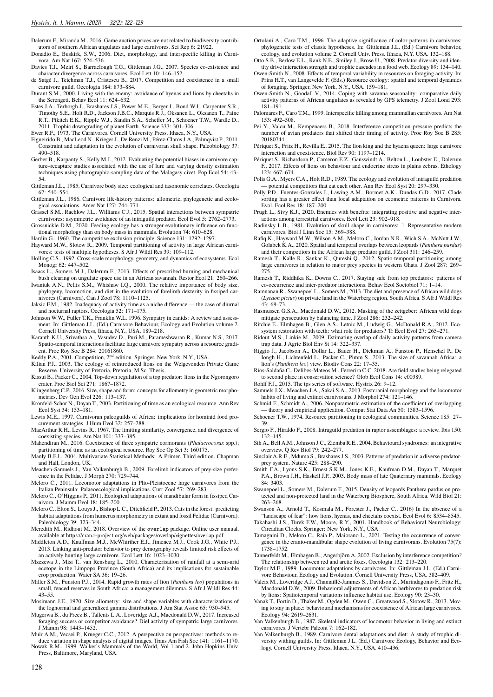- Dalerum F., Miranda M., 2016. Game auction prices are not related to biodiversity contributors of southern African ungulates and large carnivores. Sci Rep 6: 21922.
- Donadio E., Buskirk, S.W., 2006. Diet, morphology, and interspecific killing in Carnivora. Am Nat 167: 524–536.
- Davies T.J., Meiri S., Barraclough T.G., Gittleman J.G., 2007. Species co-existence and character divergence across carnivores. Ecol Lett 10: 146–152.
- de Satgé J., Teichman T.J., Cristescu B., 2017. Competition and coexistence in a small carnivore guild. Oecologia 184: 873–884.
- Durant S.M., 2000. Living with the enemy: avoidance of hyenas and lions by cheetahs in the Serengeti. Behav Ecol 11: 624–632.
- Estes J.A., Terborgh J., Brashares J.S., Power M.E., Berger J., Bond W.J., Carpenter S.R., Timothy S.E., Holt R.D., Jackson J.B.C., Marquis R.J., Oksanen L., Oksanen T., Paine R.T., Pikitch E.K., Ripple W.J., Sandin S.A., Scheffer M., Schoener T.W., Wardle D., 2011. Trophic downgrading of planet Earth. Science 333: 301–306.
- Ewer R.F., 1973. The Carnivores. Cornell University Press, Ithaca, N.Y., USA.
- Figueirido B., MacLeod N., Krieger J., De Renzi M., Pérez-Claros J.A., Palmqvist P., 2011. Constraint and adaptation in the evolution of carnivoran skull shape. Paleobiology 37: 490–518.
- Gerber B., Karpanty S., Kelly M.J., 2012. Evaluating the potential biases in carnivore capture–recapture studies associated with the use of lure and varying density estimation techniques using photographic-sampling data of the Malagasy civet. Pop Ecol 54: 43– 54.
- Gittleman J.L., 1985. Carnivore body size: ecological and taxonomic correlates. Oecologia 67: 540–554.
- Gittleman J.L., 1986. Carnivore life-history patterns: allometric, phylogenetic and ecological associations. Amer Nat 127: 744–771.
- Grassel S.M., Rachlow J.L., Williams C.J., 2015. Spatial interactions between sympatric carnivores: asymmetric avoidance of an intraguild predator. Ecol Evol 5: 2762–2773.
- Grossnickle D.M., 2020. Feeding ecology has a stronger evolutionary influence on functional morphology than on body mass in mammals. Evolution 74: 610–628.
- Hardin G., 1960. The competitive exclusion principle. Science 131: 1292–1297.
- Hayward M.W., Slotow R., 2009. Temporal partitioning of activity in large African carnivores: tests of multiple hypotheses. S Afr J Wildl Res 39: 109–112.
- Holling C.S., 1992. Cross-scale morphology, geometry, and dynamics of ecosystems. Ecol Monogr 62: 447–502.
- Isaacs L., Somers M.J., Dalerum F., 2013. Effects of prescribed burning and mechanical bush clearing on ungulate space use in an African savannah. Restor Ecol 21: 260–266.
- Iwaniuk A.N., Pellis S.M., Whishaw I.Q., 2000. The relative importance of body size, phylogeny, locomotion, and diet in the evolution of forelimb dexterity in fissiped carnivores (Carnivora). Can J Zool 78: 1110–1125.
- Jaksic F.M., 1982. Inadequacy of activity time as a niche difference the case of diurnal and nocturnal raptors. Oecologia 52: 171–175.
- Johnson W.W., Fuller T.K., Franklin W.L. 1996. Sympatry in canids: A review and assessment. In: Gittleman J.L. (Ed.) Carnivore Behaviour, Ecology and Evolution volume 2. Cornell University Press, Ithaca, N.Y., USA. 189–218.
- Karanth K.U., Srivathsa A., Vasudev D., Puri M., Parameshwaran R., Kumar N.S., 2017. Spatio-temporal interactions facilitate large carnivore sympatry across a resource gradient. Proc Roy Soc B 284: 20161860.
- Keddy P.A., 2001. Competition, 2<sup>nd</sup> edition. Springer, New York, N.Y., USA.
- Kilian P.J., 2003. The ecology of reintroduced lions on the Welgevonden Private Game Reserve. University of Pretoria, Pretoria, M.Sc. Thesis.
- Kissui B., Packer C., 2004. Top-down regulation of a top predator: lions in the Ngorongoro crater. Proc Biol Sci 271: 1867–1872.
- Klingenberg C.P., 2016. Size, shape and form: concepts for allometry in geometric morphometrics. Dev Gen Evol 226: 113-137.
- Kronfeld-Schor N., Dayan T., 2003. Partitioning of time as an ecological resource. Ann Rev Ecol Syst 34: 153–181.
- Lewis M.E., 1997. Carnivoran paleoguilds of Africa: implications for hominid food pro-curement strategies. J Hum Evol 32: 257–288.
- MacArthur R.H., Levins R., 1967. The limiting similarity, convergence, and divergence of coexisting species. Am Nat 101: 337–385.
- Mahendiran M., 2016. Coexistence of three sympatric cormorants (*Phalacrocorax* spp.); partitioning of time as an ecological resource. Roy Soc Op Sci 3: 160175.
- Manly B.F.J., 2004. Multivariate Statistical Methods: A Primer. Third edition. Chapman and Hall, London, UK.
- Meachen-Samuels J., Van Valkenburgh B., 2009. Forelimb indicators of prey-size preference in the Felidae. J Morph 270: 729–744.
- Meloro C., 2011. Locomotor adaptations in Plio-Pleistocene large carnivores from the Italian Peninsula: Palaeoecological implications. Curr Zool 57: 269–283.
- Meloro C., O'Higgins P., 2011. Ecological adaptations of mandibular form in fissiped Carnivora. J Mamm Evol 18: 185–200.
- Meloro C., Elton S., Louys J., Bishop L.C., Ditchfield P., 2013. Cats in the forest: predicting habitat adaptations from humerus morphometry in extant and fossil Felidae (Carnivora). Paleobiology 39: 323–344.
- Meredith M., Ridhout M., 2018. Overview of the overlap package. Online user manual, available at https://cran.r-project.org/web/packages/overlap/vignettes/overlap.pdf
- Middleton A.D., Kauffman M.J., McWhirther E.J., Jimenez M.J., Cook J.G., White P.J., 2013. Linking anti-predator behavior to prey demography reveals limited risk effects of an actively hunting large carnivore. Ecol Lett 16: 1023–1030.
- Mzezewa J., Misi T., van Rensburg L., 2010. Characterisation of rainfall at a semi-arid ecotope in the Limpopo Province (South Africa) and its implications for sustainable crop production. Water SA 36: 19–26.
- Miller S.M., Funston P.J., 2014. Rapid growth rates of lion (*Panthera leo*) populations in small, fenced reserves in South Africa: a management dilemma. S Afr J Wildl Res 44: 43–55.
- Mosimann J.E., 1970. Size allometry: size and shape variables with characterizations of the lognormal and generalized gamma distributions. J Am Stat Assoc 65: 930–945.
- Mugerwa B., du Preez B., Tallents L.A., Loveridge A.J., Macdonald D.W., 2017. Increased foraging success or competitor avoidance? Diel activity of sympatric large carnivores. J Mamm 98: 1443–1452.
- Muir A.M., Vecsei P., Krueger C.C., 2012. A perspective on perspectives: methods to reduce variation in shape analysis of digital images. Trans Am Fish Soc 141: 1161–1170. Nowak R.M., 1999. Walker's Mammals of the World, Vol 1 and 2. John Hopkins Univ.
- Press, Baltimore, Maryland, USA.
- Ortolani A., Caro T.M., 1996. The adaptive significance of color patterns in carnivores: phylogenetic tests of classic hypotheses. In: Gittleman J.L. (Ed.) Carnivore behavior, ecology, and evolution volume 2. Cornell Univ. Press. Ithaca, N.Y. USA. 132–188.
- Otto S.B., Berlow E.L., Rank N.E., Smiley J., Brose U., 2008. Predator diversity and identity drive interaction strength and trophic cascades in a food web. Ecology 89: 134–140.
- Owen-Smith N., 2008. Effects of temporal variability in resources on foraging activity. In: Prins H.T., van Langevelde F. (Eds.) Resource ecology: spatial and temporal dynamics of foraging. Springer, New York, N.Y., USA. 159–181.
- Owen-Smith N., Goodall V., 2014. Coping with savanna seasonality: comparative daily activity patterns of African ungulates as revealed by GPS telemetry. J Zool Lond 293: 181–191.
- Palomares F., Caro T.M., 1999. Interspecific killing among mammalian carnivores. Am Nat 153: 492–508.
- Pei Y., Valcu M., Kempenaers B., 2018. Interference competition pressure predicts the number of avian predators that shifted their timing of activity. Proc Roy Soc B 285: 20180744.
- Périquet S., Fritz H., Revilla E., 2015. The lion king and the hyaena queen: large carnivore interaction and coexistence. Biol Rev 90: 1197–1214.
- Périquet S., Richardson P., Cameron E.Z., Ganswindt A., Belton L., Loubster E., Dalerum F., 2017. Effects of lions on behaviour and endocrine stress in plains zebras. Ethology 123: 667–674.
- Polis G.A., Myers C.A., Holt R.D., 1989. The ecology and evolution of intraguild predation — potential competitors that eat each other. Ann Rev Ecol Syst 20: 297–330.
- Polly P.D., Fuentes-Gonzales J., Lawing A.M., Bormet A.K., Dundas G.D., 2017. Clade sorting has a greater effect than local adaptation on ecometric patterns in Carnivora. Evol. Ecol Res 18: 187–200.
- Prugh L., Sivy K.J., 2020. Enemies with benefits: integrating positive and negative interactions among terrestrial carnivores. Ecol Lett 23: 902–918. Radinsky L.B., 1981. Evolution of skull shape in carnivores: 1. Representative modern
- carnivores. Biol J Linn Soc 15: 369–388.
- Rafiq K., Hayward M.W., Wilson A.M., Meloro C., Jordan N.R., Wich S.A., McNutt J.W., Golabek K.A., 2020. Spatial and temporal overlaps between leopards (*Panthera pardus*) and their competitors in the African large predator guild. J Zool 311: 246–259.
- Ramesh T., Kalle R., Sankar K., Qureshi Q., 2012. Spatio-temporal partitioning among large carnivores in relation to major prey species in western Ghats. J Zool 287: 269– 275.
- Ramesh T., Riddhika K., Downs C., 2017. Staying safe from top predators: patterns of co-occurrence and inter-predator interactions. Behav Ecol Sociobiol 71: 1–14.
- Ramnanan R., Swanepoel L., Somers M., 2013. The diet and presence of African wild dogs (*Lycaon pictus*) on private land in the Waterberg region. South Africa. S Afr J Wildl Res  $43:68 - 73$
- Rasmussen G.S.A., Macdonald D.W., 2012. Masking of the zeitgeber: African wild dogs mitigate persecution by balancing time. J Zool 286: 232–242.
- Ritchie E., Elmhagen B., Glen A.S., Letnic M., Ludwig G., McDonald R.A., 2012. Ecosystem restoration with teeth: what role for predators? Tr Ecol Evol 27: 265–271.
- Ridout M.S., Linkie M., 2009. Estimating overlap of daily activity patterns from camera trap data. J Agric Biol Env St 14: 322–337.
- Riggio J., Jacobson A., Dollar L., Bauer H., Dickman A., Funston P., Henschel P., De Iongh H., Lichtenfeld L., Packer C., Pimm S., 2013. The size of savannah Africa: a lion's (*Panthera leo*) view. Biodiv Cons 22: 17–35. Ríos-Saldaña C., Delibes-Mateos M., Ferrerira C.C. 2018. Are field studies being relegated
- to second place in conservation science? Glob Ecol Cons 14: e00389.
- Rohlf F.J., 2015. The tps series of software. Hystrix 26: 9–12.
- Samuels J.X., Meachen J.A., Sakai S.A., 2013. Postcranial morphology and the locomotor habits of living and extinct carnivorans. J Morphol 274: 121–146. Schmid F., Schmidt A., 2006. Nonparametric estimation of the coefficient of overlapping
- theory and empirical application. Comput Stat Data An 50: 1583–1596.
- Schoener T.W., 1974. Resource partitioning in ecological communities. Science 185: 27– 39.
- Sergio F., Hiraldo F., 2008. Intraguild predation in raptor assemblages: a review. Ibis 150: 132–145.
- Sih A., Bell A.M., Johnson J.C., Ziemba R.E., 2004. Behavioural syndromes: an integrative overview. Q Rev Biol 79: 242–277.
- Sinclair A.R.E., Mduma S., Brashares J.S., 2003. Patterns of predation in a diverse predatorprey system. Nature 425: 288–290.
- Smith F.A., Lyons S.K., Ernest S.K.M., Jones K.E., Kaufman D.M., Dayan T., Marquet P.A., Brown J.H., Haskell J.P., 2003. Body mass of late Quaternary mammals. Ecology 84: 3403.
- Swanepoel L., Somers M., Dalerum F., 2015. Density of leopards Panthera pardus on pr tected and non-protected land in the Waterberg Biosphere, South Africa. Wild Biol 21: 263–268.
- Swanson A., Arnold T., Kosmala M., Forester J., Packer C., 2016) In the absence of a "landscape of fear": how lions, hyenas, and cheetahs coexist. Ecol Evol 6: 8534–8545.
- Takahashi J.S., Turek F.W., Moore, R.Y., 2001. Handbook of Behavioral Neurobiology: Circadian Clocks. Springer: New York, N.Y., USA.
- Tamagnini D., Meloro C., Raia P., Maiorano L., 2021. Testing the occurrence of convergence in the cranio-mandibular shape evolution of living carnivorans. Evolution 75(7): 1738–1752.
- Tannerfeldt M., Elmhagen B., Angerbjörn A.,2002. Exclusion by interference competition? The relationship between red and arctic foxes. Oecologia 132: 213–220.
- Taylor M.E., 1989. Locomotor adaptations by carnivores. In: Gittleman J.L. (Ed.) Carnivore Behaviour, Ecology and Evolution. Cornell University Press, USA. 382–409.
- Valeix M., Loveridge A.J., Chamaillé-Jammes S., Davidson Z., Murindagomo F., Fritz H., Macdonald D.W., 2009. Behavioral adjustments of African herbivores to predation risk by lions: Spatiotemporal variations influence habitat use. Ecology 90: 23–30.
- Vanak T., Fortin D., Thaker M., Ogden M., Owen C., Greatwood S., Slotow R., 2013. Moving to stay in place: behavioural mechanisms for coexistence of African large carnivores. Ecology 94: 2619–2631.
- Van Valkenburgh B., 1987. Skeletal indicators of locomotor behavior in living and extinct carnivores. J Vertebr Paleont 7: 162–182.
- Van Valkenburgh B., 1989. Carnivore dental adaptations and diet: A study of trophic diversity withing guilds. In: Gittleman J.L. (Ed.) Carnivore Ecology, Behavior and Ecology. Cornell University Press, Ithaca, N.Y., USA. 410–436.